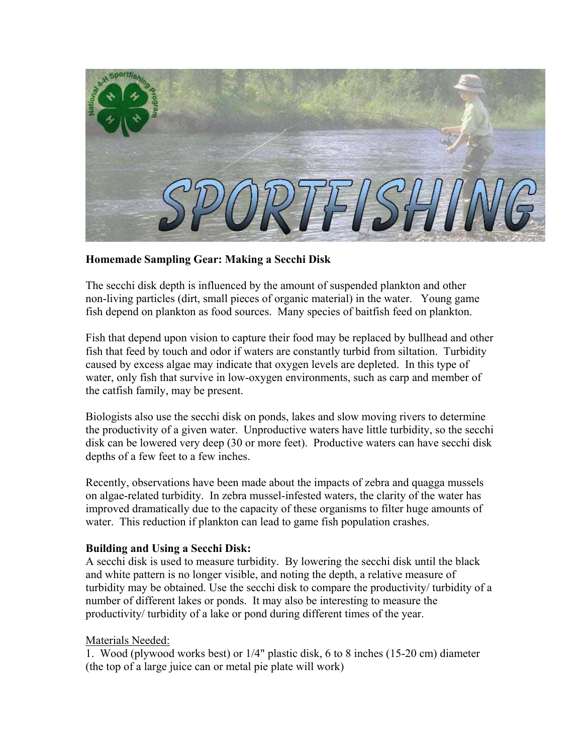

## **Homemade Sampling Gear: Making a Secchi Disk**

The secchi disk depth is influenced by the amount of suspended plankton and other non-living particles (dirt, small pieces of organic material) in the water. Young game fish depend on plankton as food sources. Many species of baitfish feed on plankton.

Fish that depend upon vision to capture their food may be replaced by bullhead and other fish that feed by touch and odor if waters are constantly turbid from siltation. Turbidity caused by excess algae may indicate that oxygen levels are depleted. In this type of water, only fish that survive in low-oxygen environments, such as carp and member of the catfish family, may be present.

Biologists also use the secchi disk on ponds, lakes and slow moving rivers to determine the productivity of a given water. Unproductive waters have little turbidity, so the secchi disk can be lowered very deep (30 or more feet). Productive waters can have secchi disk depths of a few feet to a few inches.

Recently, observations have been made about the impacts of zebra and quagga mussels on algae-related turbidity. In zebra mussel-infested waters, the clarity of the water has improved dramatically due to the capacity of these organisms to filter huge amounts of water. This reduction if plankton can lead to game fish population crashes.

## **Building and Using a Secchi Disk:**

A secchi disk is used to measure turbidity. By lowering the secchi disk until the black and white pattern is no longer visible, and noting the depth, a relative measure of turbidity may be obtained. Use the secchi disk to compare the productivity/ turbidity of a number of different lakes or ponds. It may also be interesting to measure the productivity/ turbidity of a lake or pond during different times of the year.

## Materials Needed:

1. Wood (plywood works best) or 1/4" plastic disk, 6 to 8 inches (15-20 cm) diameter (the top of a large juice can or metal pie plate will work)